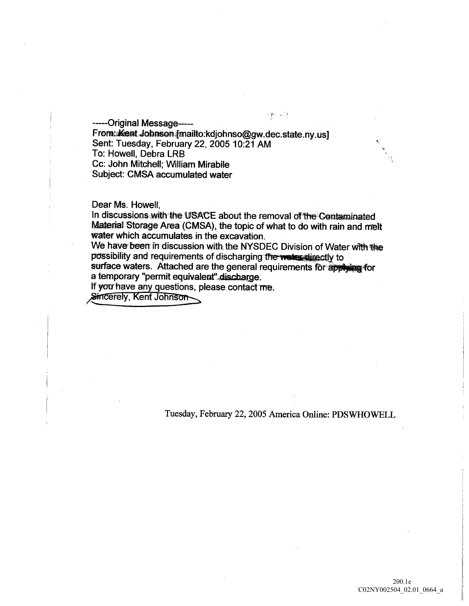-----Original Message-----

From: Kent Johnson [mailto:kdjohnso@gw.dec.state.ny.us] Sent: Tuesday, February 22, 2005 10:21 AM To: Howell, Debra LRB Cc: John Mitchell; William Mirabile Subject: CMSA accumulated water

Dear Ms. Howell,

In discussions with the USACE about the removal of the Contaminated Material Storage Area (CMSA), the topic of what to do with rain and melt water which accumulates in the excavation

We have been in discussion with the NYSDEC Division of Water with the possibility and requirements of discharging the webs directly to surface waters. Attached are the general requirements for applying for a temporary "permit equivalent" discharge.

If you have any questions, please contact me.<br>Sincerely, Kent Johnson

Tuesday, February 22, 2005 America Online: PDSWHOWELL

 $\gamma$  )  $\gamma$  ,  $\gamma$